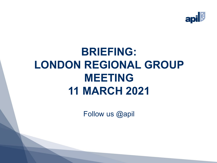

### **BRIEFING: LONDON REGIONAL GROUP MEETING 11 MARCH 2021**

Follow us @apil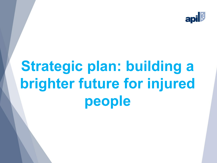

# **Strategic plan: building a brighter future for injured people**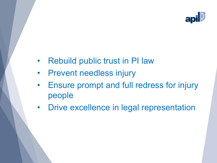

- Rebuild public trust in PI law
- Prevent needless injury
- Ensure prompt and full redress for injury people
- Drive excellence in legal representation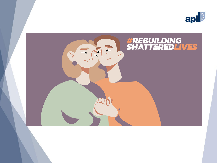

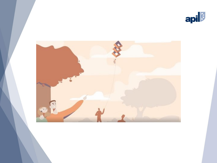

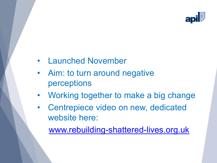

- Launched November
- Aim: to turn around negative perceptions
- Working together to make a big change
- Centrepiece video on new, dedicated website here:

[www.rebuilding-shattered-lives.org.uk](http://www.rebuilding-shattered-lives.org.uk/)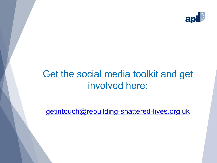

### Get the social media toolkit and get involved here:

[getintouch@rebuilding-shattered-lives.org.uk](mailto:getintouch@rebuilding-shattered-lives.org.uk)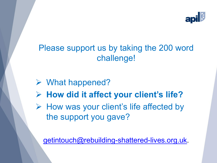

### Please support us by taking the 200 word challenge!

- What happened?
- **How did it affect your client's life?**
- $\triangleright$  How was your client's life affected by the support you gave?

[getintouch@rebuilding-shattered-lives.org.uk.](mailto:getintouch@rebuilding-shattered-lives.org.uk)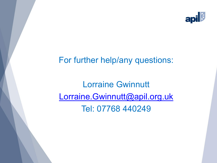

#### For further help/any questions:

Lorraine Gwinnutt [Lorraine.Gwinnutt@apil.org.uk](mailto:Lorraine.Gwinnutt@apil.org.uk) Tel: 07768 440249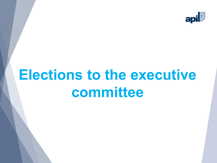

## **Elections to the executive committee**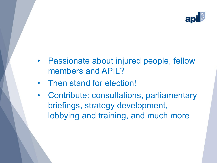

- Passionate about injured people, fellow members and APIL?
- Then stand for election!
- Contribute: consultations, parliamentary briefings, strategy development, lobbying and training, and much more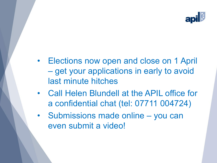

- Elections now open and close on 1 April – get your applications in early to avoid last minute hitches
- Call Helen Blundell at the APIL office for a confidential chat (tel: 07711 004724)
- Submissions made online you can even submit a video!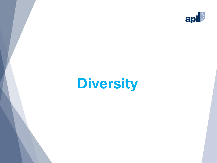

# **Diversity**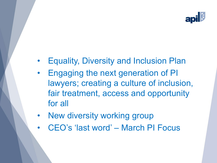

- Equality, Diversity and Inclusion Plan
- Engaging the next generation of PI lawyers; creating a culture of inclusion, fair treatment, access and opportunity for all
- New diversity working group
- CEO's 'last word' March PI Focus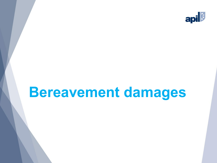

### **Bereavement damages**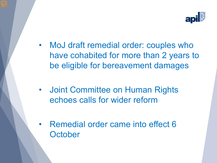

- MoJ draft remedial order: couples who have cohabited for more than 2 years to be eligible for bereavement damages
- Joint Committee on Human Rights echoes calls for wider reform
- Remedial order came into effect 6 **October**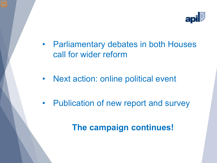

- Parliamentary debates in both Houses call for wider reform
- Next action: online political event
- Publication of new report and survey

#### **The campaign continues!**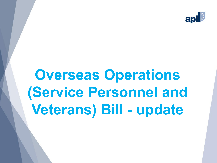

# **Overseas Operations (Service Personnel and Veterans) Bill - update**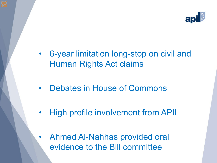

- 6-year limitation long-stop on civil and Human Rights Act claims
- Debates in House of Commons
- High profile involvement from APIL
- Ahmed Al-Nahhas provided oral evidence to the Bill committee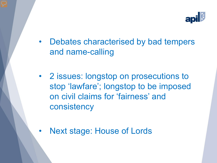

- Debates characterised by bad tempers and name-calling
- 2 issues: longstop on prosecutions to stop 'lawfare'; longstop to be imposed on civil claims for 'fairness' and consistency
- Next stage: House of Lords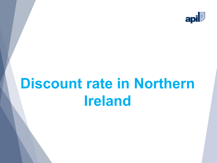

## **Discount rate in Northern Ireland**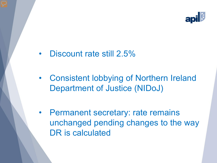

- Discount rate still 2.5%
- Consistent lobbying of Northern Ireland Department of Justice (NIDoJ)
- Permanent secretary: rate remains unchanged pending changes to the way DR is calculated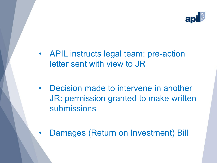

- APIL instructs legal team: pre-action letter sent with view to JR
- Decision made to intervene in another JR: permission granted to make written submissions
- Damages (Return on Investment) Bill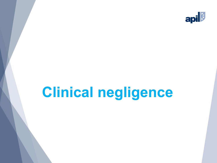

## **Clinical negligence**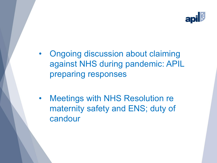

- Ongoing discussion about claiming against NHS during pandemic: APIL preparing responses
- Meetings with NHS Resolution re maternity safety and ENS; duty of candour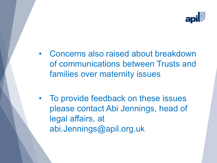

- Concerns also raised about breakdown of communications between Trusts and families over maternity issues
- To provide feedback on these issues please contact Abi Jennings, head of legal affairs, at abi.Jennings@apil.org.uk